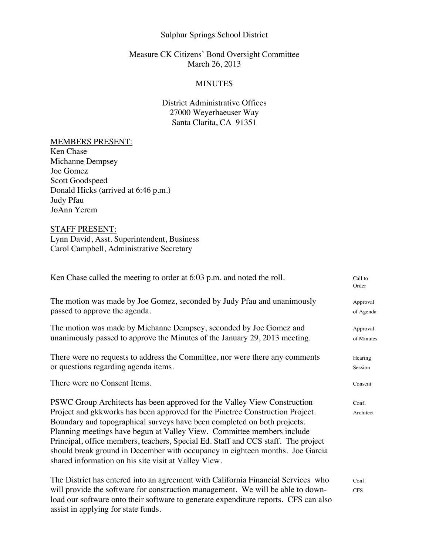## Sulphur Springs School District

## Measure CK Citizens' Bond Oversight Committee March 26, 2013

### MINUTES

# District Administrative Offices 27000 Weyerhaeuser Way Santa Clarita, CA 91351

#### MEMBERS PRESENT:

Ken Chase Michanne Dempsey Joe Gomez Scott Goodspeed Donald Hicks (arrived at 6:46 p.m.) Judy Pfau JoAnn Yerem

## STAFF PRESENT:

Lynn David, Asst. Superintendent, Business Carol Campbell, Administrative Secretary

| Ken Chase called the meeting to order at 6:03 p.m. and noted the roll.                                                                                                                                                                                                                                                                                                                                                                                                                                                                        | Call to<br>Order       |
|-----------------------------------------------------------------------------------------------------------------------------------------------------------------------------------------------------------------------------------------------------------------------------------------------------------------------------------------------------------------------------------------------------------------------------------------------------------------------------------------------------------------------------------------------|------------------------|
| The motion was made by Joe Gomez, seconded by Judy Pfau and unanimously<br>passed to approve the agenda.                                                                                                                                                                                                                                                                                                                                                                                                                                      | Approval<br>of Agenda  |
| The motion was made by Michanne Dempsey, seconded by Joe Gomez and<br>unanimously passed to approve the Minutes of the January 29, 2013 meeting.                                                                                                                                                                                                                                                                                                                                                                                              | Approval<br>of Minutes |
| There were no requests to address the Committee, nor were there any comments<br>or questions regarding agenda items.                                                                                                                                                                                                                                                                                                                                                                                                                          | Hearing<br>Session     |
| There were no Consent Items.                                                                                                                                                                                                                                                                                                                                                                                                                                                                                                                  | Consent                |
| PSWC Group Architects has been approved for the Valley View Construction<br>Project and gkkworks has been approved for the Pinetree Construction Project.<br>Boundary and topographical surveys have been completed on both projects.<br>Planning meetings have begun at Valley View. Committee members include<br>Principal, office members, teachers, Special Ed. Staff and CCS staff. The project<br>should break ground in December with occupancy in eighteen months. Joe Garcia<br>shared information on his site visit at Valley View. | Conf.<br>Architect     |
| The District has entered into an agreement with California Financial Services who<br>will provide the software for construction management. We will be able to down-<br>load our software onto their software to generate expenditure reports. CFS can also<br>assist in applying for state funds.                                                                                                                                                                                                                                            | Conf.<br><b>CFS</b>    |